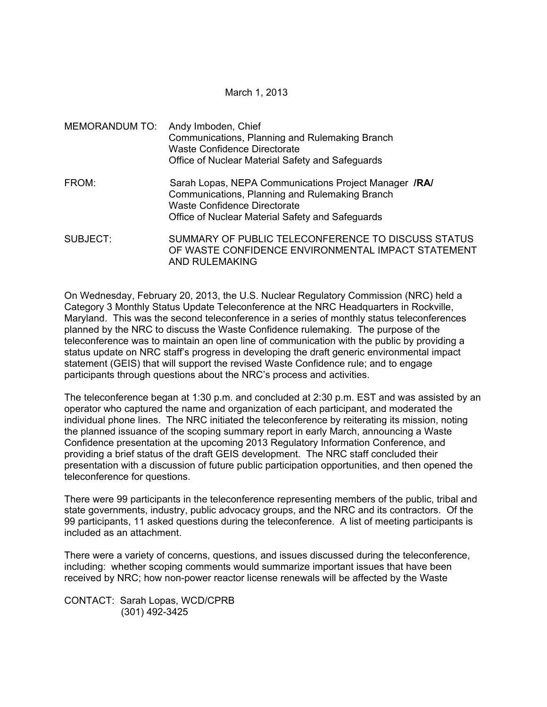March 1, 2013

MEMORANDUM TO: Andy Imboden, Chief Communications, Planning and Rulemaking Branch Waste Confidence Directorate Office of Nuclear Material Safety and Safeguards FROM: Sarah Lopas, NEPA Communications Project Manager **/RA/** Communications, Planning and Rulemaking Branch Waste Confidence Directorate Office of Nuclear Material Safety and Safeguards SUBJECT: SUMMARY OF PUBLIC TELECONFERENCE TO DISCUSS STATUS OF WASTE CONFIDENCE ENVIRONMENTAL IMPACT STATEMENT

AND RULEMAKING

On Wednesday, February 20, 2013, the U.S. Nuclear Regulatory Commission (NRC) held a Category 3 Monthly Status Update Teleconference at the NRC Headquarters in Rockville, Maryland. This was the second teleconference in a series of monthly status teleconferences planned by the NRC to discuss the Waste Confidence rulemaking. The purpose of the teleconference was to maintain an open line of communication with the public by providing a status update on NRC staff's progress in developing the draft generic environmental impact statement (GEIS) that will support the revised Waste Confidence rule; and to engage participants through questions about the NRC's process and activities.

The teleconference began at 1:30 p.m. and concluded at 2:30 p.m. EST and was assisted by an operator who captured the name and organization of each participant, and moderated the individual phone lines. The NRC initiated the teleconference by reiterating its mission, noting the planned issuance of the scoping summary report in early March, announcing a Waste Confidence presentation at the upcoming 2013 Regulatory Information Conference, and providing a brief status of the draft GEIS development. The NRC staff concluded their presentation with a discussion of future public participation opportunities, and then opened the teleconference for questions.

There were 99 participants in the teleconference representing members of the public, tribal and state governments, industry, public advocacy groups, and the NRC and its contractors. Of the 99 participants, 11 asked questions during the teleconference. A list of meeting participants is included as an attachment.

There were a variety of concerns, questions, and issues discussed during the teleconference, including: whether scoping comments would summarize important issues that have been received by NRC; how non-power reactor license renewals will be affected by the Waste

CONTACT: Sarah Lopas, WCD/CPRB (301) 492-3425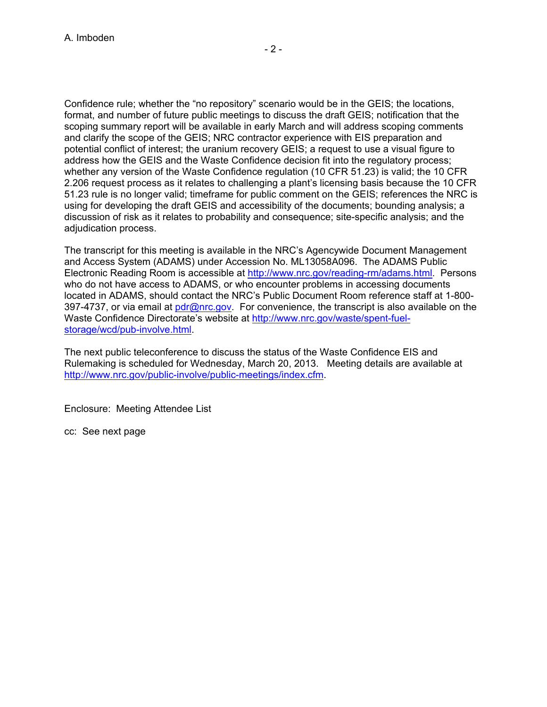$-2$  -

Confidence rule; whether the "no repository" scenario would be in the GEIS; the locations, format, and number of future public meetings to discuss the draft GEIS; notification that the scoping summary report will be available in early March and will address scoping comments and clarify the scope of the GEIS; NRC contractor experience with EIS preparation and potential conflict of interest; the uranium recovery GEIS; a request to use a visual figure to address how the GEIS and the Waste Confidence decision fit into the regulatory process; whether any version of the Waste Confidence regulation (10 CFR 51.23) is valid; the 10 CFR 2.206 request process as it relates to challenging a plant's licensing basis because the 10 CFR 51.23 rule is no longer valid; timeframe for public comment on the GEIS; references the NRC is using for developing the draft GEIS and accessibility of the documents; bounding analysis; a discussion of risk as it relates to probability and consequence; site-specific analysis; and the adjudication process.

The transcript for this meeting is available in the NRC's Agencywide Document Management and Access System (ADAMS) under Accession No. ML13058A096. The ADAMS Public Electronic Reading Room is accessible at http://www.nrc.gov/reading-rm/adams.html. Persons who do not have access to ADAMS, or who encounter problems in accessing documents located in ADAMS, should contact the NRC's Public Document Room reference staff at 1-800- 397-4737, or via email at pdr@nrc.gov. For convenience, the transcript is also available on the Waste Confidence Directorate's website at http://www.nrc.gov/waste/spent-fuelstorage/wcd/pub-involve.html.

The next public teleconference to discuss the status of the Waste Confidence EIS and Rulemaking is scheduled for Wednesday, March 20, 2013. Meeting details are available at http://www.nrc.gov/public-involve/public-meetings/index.cfm.

Enclosure: Meeting Attendee List

cc: See next page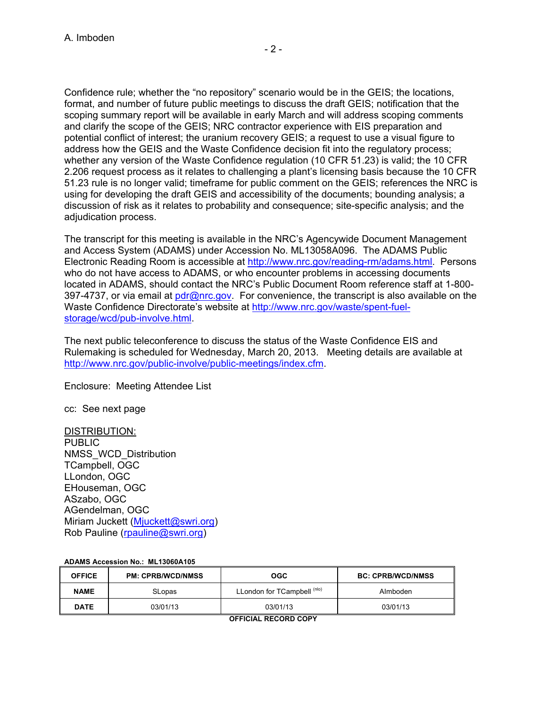Confidence rule; whether the "no repository" scenario would be in the GEIS; the locations, format, and number of future public meetings to discuss the draft GEIS; notification that the scoping summary report will be available in early March and will address scoping comments and clarify the scope of the GEIS; NRC contractor experience with EIS preparation and potential conflict of interest; the uranium recovery GEIS; a request to use a visual figure to address how the GEIS and the Waste Confidence decision fit into the regulatory process; whether any version of the Waste Confidence regulation (10 CFR 51.23) is valid; the 10 CFR 2.206 request process as it relates to challenging a plant's licensing basis because the 10 CFR 51.23 rule is no longer valid; timeframe for public comment on the GEIS; references the NRC is using for developing the draft GEIS and accessibility of the documents; bounding analysis; a discussion of risk as it relates to probability and consequence; site-specific analysis; and the adjudication process.

The transcript for this meeting is available in the NRC's Agencywide Document Management and Access System (ADAMS) under Accession No. ML13058A096. The ADAMS Public Electronic Reading Room is accessible at http://www.nrc.gov/reading-rm/adams.html. Persons who do not have access to ADAMS, or who encounter problems in accessing documents located in ADAMS, should contact the NRC's Public Document Room reference staff at 1-800- 397-4737, or via email at pdr@nrc.gov. For convenience, the transcript is also available on the Waste Confidence Directorate's website at http://www.nrc.gov/waste/spent-fuelstorage/wcd/pub-involve.html.

The next public teleconference to discuss the status of the Waste Confidence EIS and Rulemaking is scheduled for Wednesday, March 20, 2013. Meeting details are available at http://www.nrc.gov/public-involve/public-meetings/index.cfm.

Enclosure: Meeting Attendee List

cc: See next page

## DISTRIBUTION:

PUBLIC NMSS\_WCD\_Distribution TCampbell, OGC LLondon, OGC EHouseman, OGC ASzabo, OGC AGendelman, OGC Miriam Juckett (Mjuckett@swri.org) Rob Pauline (rpauline@swri.org)

## **ADAMS Accession No.: ML13060A105**

| <b>OFFICE</b> | <b>PM: CPRB/WCD/NMSS</b> | OGC.                        | <b>BC: CPRB/WCD/NMSS</b> |
|---------------|--------------------------|-----------------------------|--------------------------|
| <b>NAME</b>   | SLopas                   | LLondon for TCampbell (nlo) | Almboden                 |
| <b>DATE</b>   | 03/01/13                 | 03/01/13                    | 03/01/13                 |

**OFFICIAL RECORD COPY**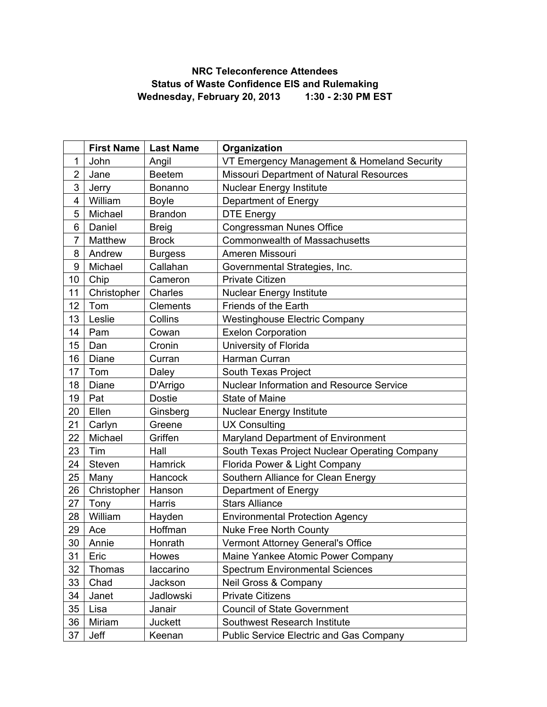## **NRC Teleconference Attendees Status of Waste Confidence EIS and Rulemaking Wednesday, February 20, 2013 1:30 - 2:30 PM EST**

|                | <b>First Name</b> | <b>Last Name</b> | Organization                                   |  |
|----------------|-------------------|------------------|------------------------------------------------|--|
| 1              | John              | Angil            | VT Emergency Management & Homeland Security    |  |
| $\overline{2}$ | Jane              | <b>Beetem</b>    | Missouri Department of Natural Resources       |  |
| 3              | Jerry             | Bonanno          | <b>Nuclear Energy Institute</b>                |  |
| 4              | William           | <b>Boyle</b>     | Department of Energy                           |  |
| 5              | Michael           | <b>Brandon</b>   | <b>DTE Energy</b>                              |  |
| 6              | Daniel            | <b>Breig</b>     | Congressman Nunes Office                       |  |
| $\overline{7}$ | Matthew           | <b>Brock</b>     | <b>Commonwealth of Massachusetts</b>           |  |
| 8              | Andrew            | <b>Burgess</b>   | Ameren Missouri                                |  |
| 9              | Michael           | Callahan         | Governmental Strategies, Inc.                  |  |
| 10             | Chip              | Cameron          | <b>Private Citizen</b>                         |  |
| 11             | Christopher       | Charles          | <b>Nuclear Energy Institute</b>                |  |
| 12             | Tom               | Clements         | <b>Friends of the Earth</b>                    |  |
| 13             | Leslie            | Collins          | <b>Westinghouse Electric Company</b>           |  |
| 14             | Pam               | Cowan            | <b>Exelon Corporation</b>                      |  |
| 15             | Dan               | Cronin           | University of Florida                          |  |
| 16             | Diane             | Curran           | Harman Curran                                  |  |
| 17             | Tom               | Daley            | South Texas Project                            |  |
| 18             | Diane             | D'Arrigo         | Nuclear Information and Resource Service       |  |
| 19             | Pat               | <b>Dostie</b>    | <b>State of Maine</b>                          |  |
| 20             | Ellen             | Ginsberg         | <b>Nuclear Energy Institute</b>                |  |
| 21             | Carlyn            | Greene           | <b>UX Consulting</b>                           |  |
| 22             | Michael           | Griffen          | Maryland Department of Environment             |  |
| 23             | Tim               | Hall             | South Texas Project Nuclear Operating Company  |  |
| 24             | Steven            | Hamrick          | Florida Power & Light Company                  |  |
| 25             | Many              | Hancock          | Southern Alliance for Clean Energy             |  |
| 26             | Christopher       | Hanson           | Department of Energy                           |  |
| 27             | Tony              | Harris           | <b>Stars Alliance</b>                          |  |
| 28             | William           | Hayden           | <b>Environmental Protection Agency</b>         |  |
| 29             | Ace               | Hoffman          | <b>Nuke Free North County</b>                  |  |
| 30             | Annie             | Honrath          | Vermont Attorney General's Office              |  |
| 31             | Eric              | Howes            | Maine Yankee Atomic Power Company              |  |
| 32             | Thomas            | laccarino        | <b>Spectrum Environmental Sciences</b>         |  |
| 33             | Chad              | Jackson          | Neil Gross & Company                           |  |
| 34             | Janet             | Jadlowski        | <b>Private Citizens</b>                        |  |
| 35             | Lisa              | Janair           | <b>Council of State Government</b>             |  |
| 36             | Miriam            | <b>Juckett</b>   | Southwest Research Institute                   |  |
| 37             | Jeff              | Keenan           | <b>Public Service Electric and Gas Company</b> |  |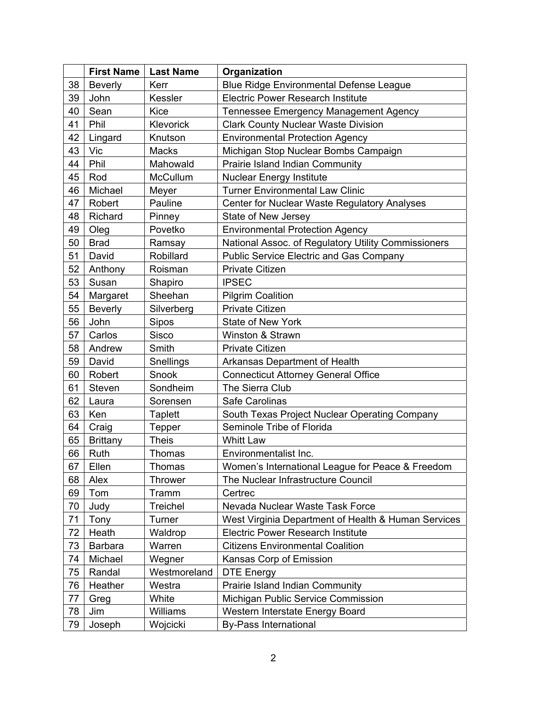|    | <b>First Name</b> | <b>Last Name</b> | Organization                                        |
|----|-------------------|------------------|-----------------------------------------------------|
| 38 | <b>Beverly</b>    | Kerr             | Blue Ridge Environmental Defense League             |
| 39 | John              | Kessler          | <b>Electric Power Research Institute</b>            |
| 40 | Sean              | <b>Kice</b>      | Tennessee Emergency Management Agency               |
| 41 | Phil              | Klevorick        | <b>Clark County Nuclear Waste Division</b>          |
| 42 | Lingard           | Knutson          | <b>Environmental Protection Agency</b>              |
| 43 | Vic               | <b>Macks</b>     | Michigan Stop Nuclear Bombs Campaign                |
| 44 | Phil              | Mahowald         | Prairie Island Indian Community                     |
| 45 | Rod               | McCullum         | <b>Nuclear Energy Institute</b>                     |
| 46 | Michael           | Meyer            | <b>Turner Environmental Law Clinic</b>              |
| 47 | Robert            | Pauline          | Center for Nuclear Waste Regulatory Analyses        |
| 48 | Richard           | Pinney           | State of New Jersey                                 |
| 49 | Oleg              | Povetko          | <b>Environmental Protection Agency</b>              |
| 50 | <b>Brad</b>       | Ramsay           | National Assoc. of Regulatory Utility Commissioners |
| 51 | David             | Robillard        | <b>Public Service Electric and Gas Company</b>      |
| 52 | Anthony           | Roisman          | <b>Private Citizen</b>                              |
| 53 | Susan             | Shapiro          | <b>IPSEC</b>                                        |
| 54 | Margaret          | Sheehan          | <b>Pilgrim Coalition</b>                            |
| 55 | <b>Beverly</b>    | Silverberg       | <b>Private Citizen</b>                              |
| 56 | John              | Sipos            | <b>State of New York</b>                            |
| 57 | Carlos            | Sisco            | Winston & Strawn                                    |
| 58 | Andrew            | Smith            | <b>Private Citizen</b>                              |
| 59 | David             | Snellings        | Arkansas Department of Health                       |
| 60 | Robert            | Snook            | <b>Connecticut Attorney General Office</b>          |
| 61 | Steven            | Sondheim         | The Sierra Club                                     |
| 62 | Laura             | Sorensen         | Safe Carolinas                                      |
| 63 | Ken               | <b>Taplett</b>   | South Texas Project Nuclear Operating Company       |
| 64 | Craig             | <b>Tepper</b>    | Seminole Tribe of Florida                           |
| 65 | <b>Brittany</b>   | <b>Theis</b>     | <b>Whitt Law</b>                                    |
| 66 | Ruth              | Thomas           | Environmentalist Inc.                               |
| 67 | Ellen             | Thomas           | Women's International League for Peace & Freedom    |
| 68 | Alex              | <b>Thrower</b>   | The Nuclear Infrastructure Council                  |
| 69 | Tom               | Tramm            | Certrec                                             |
| 70 | Judy              | <b>Treichel</b>  | Nevada Nuclear Waste Task Force                     |
| 71 | Tony              | Turner           | West Virginia Department of Health & Human Services |
| 72 | Heath             | Waldrop          | <b>Electric Power Research Institute</b>            |
| 73 | <b>Barbara</b>    | Warren           | <b>Citizens Environmental Coalition</b>             |
| 74 | Michael           | Wegner           | Kansas Corp of Emission                             |
| 75 | Randal            | Westmoreland     | <b>DTE Energy</b>                                   |
| 76 | Heather           | Westra           | Prairie Island Indian Community                     |
| 77 | Greg              | White            | Michigan Public Service Commission                  |
| 78 | Jim               | Williams         | Western Interstate Energy Board                     |
| 79 | Joseph            | Wojcicki         | <b>By-Pass International</b>                        |